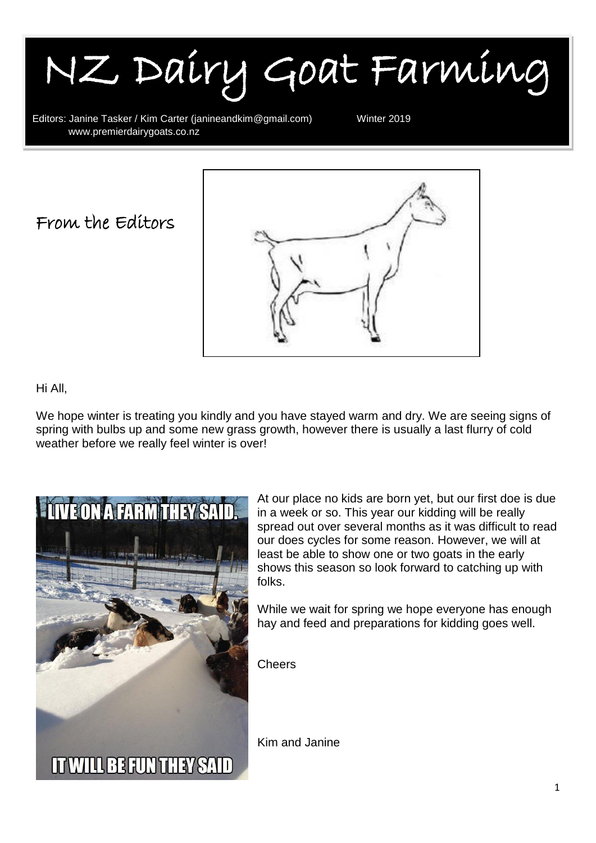NZ Dairy Goat Farming

Editors: Janine Tasker / Kim Carter (janineandkim@gmail.com) Winter 2019<br>WWW.premierdairvgoats.co.nz www.premierdairygoats.co.nz

From the Editors



#### Hi All,

I

We hope winter is treating you kindly and you have stayed warm and dry. We are seeing signs of spring with bulbs up and some new grass growth, however there is usually a last flurry of cold weather before we really feel winter is over!



At our place no kids are born yet, but our first doe is due in a week or so. This year our kidding will be really spread out over several months as it was difficult to read our does cycles for some reason. However, we will at least be able to show one or two goats in the early shows this season so look forward to catching up with folks.

While we wait for spring we hope everyone has enough hay and feed and preparations for kidding goes well.

**Cheers** 

Kim and Janine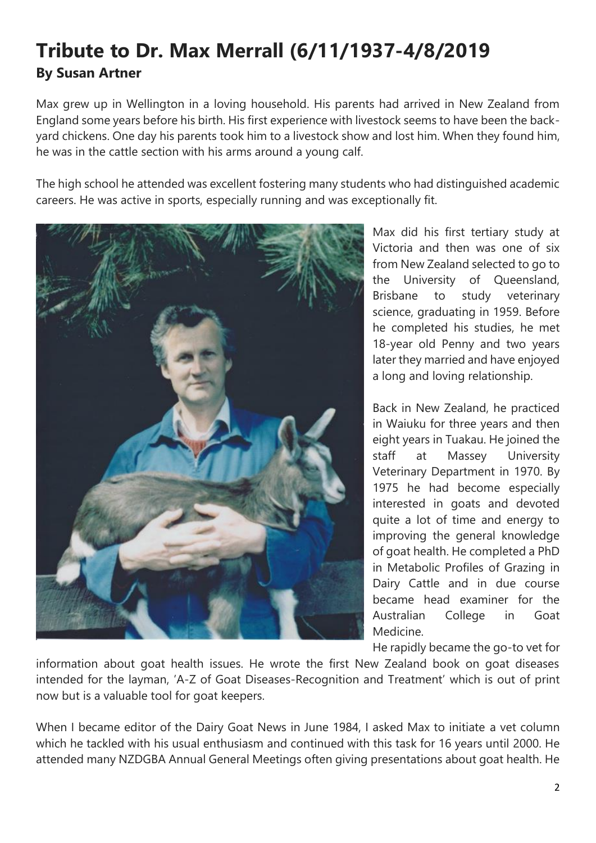#### **Tribute to Dr. Max Merrall (6/11/1937-4/8/2019 By Susan Artner**

Max grew up in Wellington in a loving household. His parents had arrived in New Zealand from England some years before his birth. His first experience with livestock seems to have been the backyard chickens. One day his parents took him to a livestock show and lost him. When they found him, he was in the cattle section with his arms around a young calf.

The high school he attended was excellent fostering many students who had distinguished academic careers. He was active in sports, especially running and was exceptionally fit.



Max did his first tertiary study at Victoria and then was one of six from New Zealand selected to go to the University of Queensland, Brisbane to study veterinary science, graduating in 1959. Before he completed his studies, he met 18-year old Penny and two years later they married and have enjoyed a long and loving relationship.

Back in New Zealand, he practiced in Waiuku for three years and then eight years in Tuakau. He joined the staff at Massey University Veterinary Department in 1970. By 1975 he had become especially interested in goats and devoted quite a lot of time and energy to improving the general knowledge of goat health. He completed a PhD in Metabolic Profiles of Grazing in Dairy Cattle and in due course became head examiner for the Australian College in Goat Medicine.

He rapidly became the go-to vet for

information about goat health issues. He wrote the first New Zealand book on goat diseases intended for the layman, 'A-Z of Goat Diseases-Recognition and Treatment' which is out of print now but is a valuable tool for goat keepers.

When I became editor of the Dairy Goat News in June 1984, I asked Max to initiate a vet column which he tackled with his usual enthusiasm and continued with this task for 16 years until 2000. He attended many NZDGBA Annual General Meetings often giving presentations about goat health. He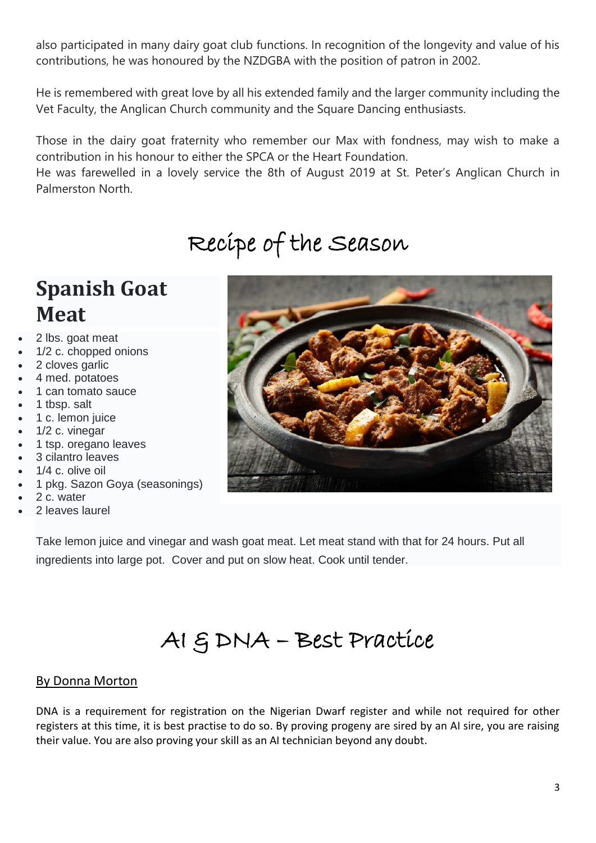also participated in many dairy goat club functions. In recognition of the longevity and value of his contributions, he was honoured by the NZDGBA with the position of patron in 2002.

He is remembered with great love by all his extended family and the larger community including the Vet Faculty, the Anglican Church community and the Square Dancing enthusiasts.

Those in the dairy goat fraternity who remember our Max with fondness, may wish to make a contribution in his honour to either the SPCA or the Heart Foundation.

He was farewelled in a lovely service the 8th of August 2019 at St. Peter's Anglican Church in Palmerston North.

# Recipe of the Season

### **Spanish Goat Meat**

- 2 lbs. goat meat
- 1/2 c. chopped onions
- 2 cloves garlic
- 4 med. potatoes
- 1 can tomato sauce
- 1 tbsp. salt
- 1 c. lemon juice
- 1/2 c. vinegar
- 1 tsp. oregano leaves
- 3 cilantro leaves
- 1/4 c. olive oil
- 1 pkg. Sazon Goya (seasonings)
- 2 c. water
- 2 leaves laurel



Take lemon juice and vinegar and wash goat meat. Let meat stand with that for 24 hours. Put all ingredients into large pot. Cover and put on slow heat. Cook until tender.

# AI & DNA – Best Practice

#### By Donna Morton

DNA is a requirement for registration on the Nigerian Dwarf register and while not required for other registers at this time, it is best practise to do so. By proving progeny are sired by an AI sire, you are raising their value. You are also proving your skill as an AI technician beyond any doubt.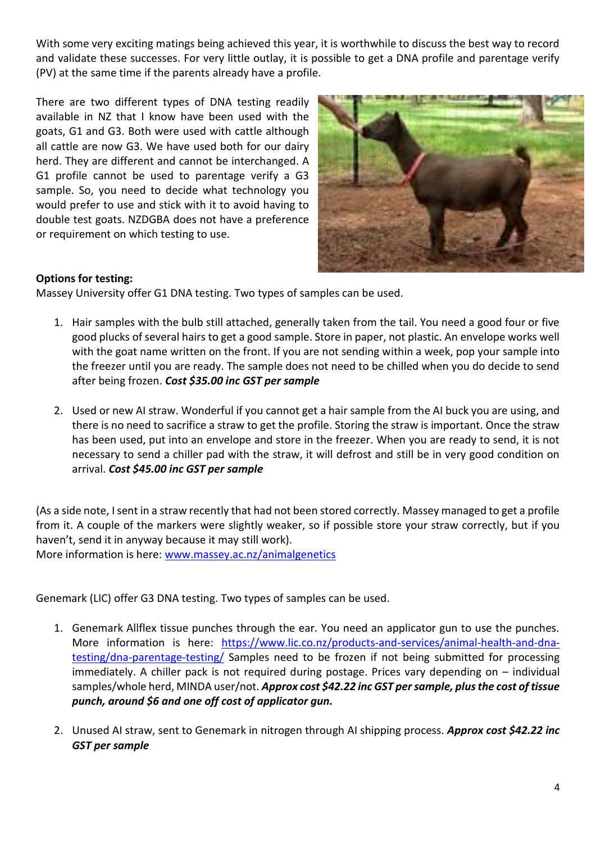With some very exciting matings being achieved this year, it is worthwhile to discuss the best way to record and validate these successes. For very little outlay, it is possible to get a DNA profile and parentage verify (PV) at the same time if the parents already have a profile.

There are two different types of DNA testing readily available in NZ that I know have been used with the goats, G1 and G3. Both were used with cattle although all cattle are now G3. We have used both for our dairy herd. They are different and cannot be interchanged. A G1 profile cannot be used to parentage verify a G3 sample. So, you need to decide what technology you would prefer to use and stick with it to avoid having to double test goats. NZDGBA does not have a preference or requirement on which testing to use.



#### **Options for testing:**

Massey University offer G1 DNA testing. Two types of samples can be used.

- 1. Hair samples with the bulb still attached, generally taken from the tail. You need a good four or five good plucks of several hairs to get a good sample. Store in paper, not plastic. An envelope works well with the goat name written on the front. If you are not sending within a week, pop your sample into the freezer until you are ready. The sample does not need to be chilled when you do decide to send after being frozen. *Cost \$35.00 inc GST per sample*
- 2. Used or new AI straw. Wonderful if you cannot get a hair sample from the AI buck you are using, and there is no need to sacrifice a straw to get the profile. Storing the straw is important. Once the straw has been used, put into an envelope and store in the freezer. When you are ready to send, it is not necessary to send a chiller pad with the straw, it will defrost and still be in very good condition on arrival. *Cost \$45.00 inc GST per sample*

(As a side note, I sent in a straw recently that had not been stored correctly. Massey managed to get a profile from it. A couple of the markers were slightly weaker, so if possible store your straw correctly, but if you haven't, send it in anyway because it may still work).

More information is here: [www.massey.ac.nz/animalgenetics](http://www.massey.ac.nz/animalgenetics)

Genemark (LIC) offer G3 DNA testing. Two types of samples can be used.

- 1. Genemark Allflex tissue punches through the ear. You need an applicator gun to use the punches. More information is here: [https://www.lic.co.nz/products-and-services/animal-health-and-dna](https://www.lic.co.nz/products-and-services/animal-health-and-dna-testing/dna-parentage-testing/)[testing/dna-parentage-testing/](https://www.lic.co.nz/products-and-services/animal-health-and-dna-testing/dna-parentage-testing/) Samples need to be frozen if not being submitted for processing immediately. A chiller pack is not required during postage. Prices vary depending on – individual samples/whole herd, MINDA user/not. *Approx cost \$42.22 inc GST per sample, plus the cost of tissue punch, around \$6 and one off cost of applicator gun.*
- 2. Unused AI straw, sent to Genemark in nitrogen through AI shipping process. *Approx cost \$42.22 inc GST per sample*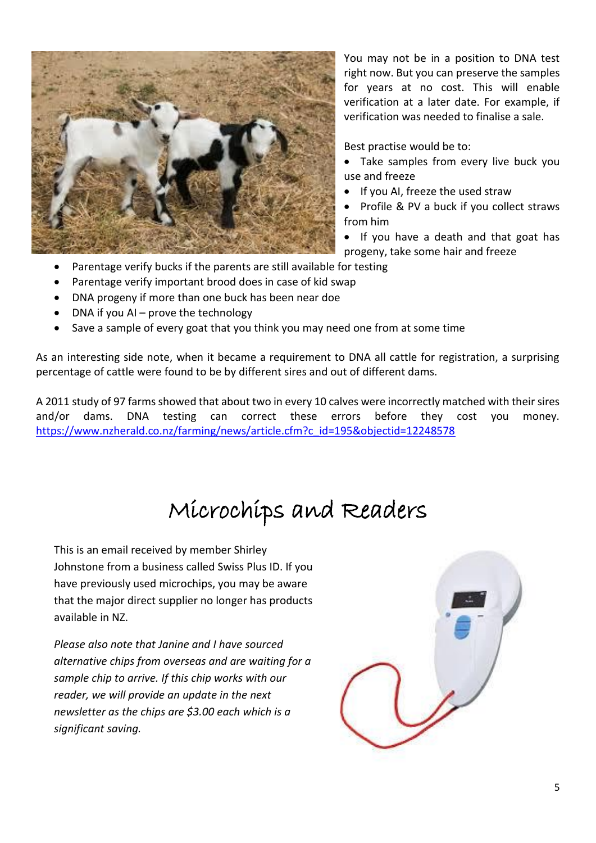

You may not be in a position to DNA test right now. But you can preserve the samples for years at no cost. This will enable verification at a later date. For example, if verification was needed to finalise a sale.

Best practise would be to:

- Take samples from every live buck you use and freeze
- If you AI, freeze the used straw
- Profile & PV a buck if you collect straws from him
- If you have a death and that goat has progeny, take some hair and freeze
- Parentage verify bucks if the parents are still available for testing
- Parentage verify important brood does in case of kid swap
- DNA progeny if more than one buck has been near doe
- DNA if you AI prove the technology
- Save a sample of every goat that you think you may need one from at some time

As an interesting side note, when it became a requirement to DNA all cattle for registration, a surprising percentage of cattle were found to be by different sires and out of different dams.

A 2011 study of 97 farms showed that about two in every 10 calves were incorrectly matched with their sires and/or dams. DNA testing can correct these errors before they cost you money. [https://www.nzherald.co.nz/farming/news/article.cfm?c\\_id=195&objectid=12248578](https://www.nzherald.co.nz/farming/news/article.cfm?c_id=195&objectid=12248578)

## Microchips and Readers

This is an email received by member Shirley Johnstone from a business called Swiss Plus ID. If you have previously used microchips, you may be aware that the major direct supplier no longer has products available in NZ.

*Please also note that Janine and I have sourced alternative chips from overseas and are waiting for a sample chip to arrive. If this chip works with our reader, we will provide an update in the next newsletter as the chips are \$3.00 each which is a significant saving.*

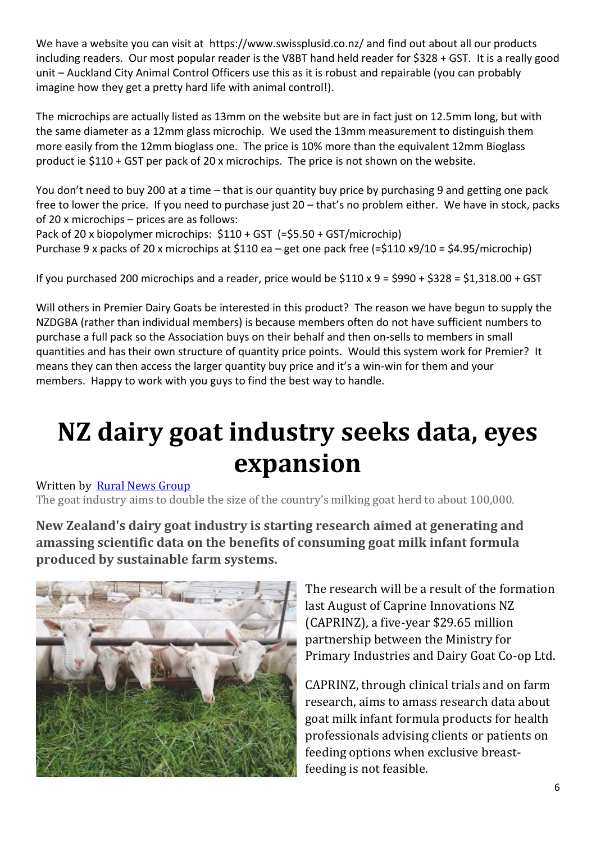We have a website you can visit at https://www.swissplusid.co.nz/ and find out about all our products including readers. Our most popular reader is the V8BT hand held reader for \$328 + GST. It is a really good unit – Auckland City Animal Control Officers use this as it is robust and repairable (you can probably imagine how they get a pretty hard life with animal control!).

The microchips are actually listed as 13mm on the website but are in fact just on 12.5mm long, but with the same diameter as a 12mm glass microchip. We used the 13mm measurement to distinguish them more easily from the 12mm bioglass one. The price is 10% more than the equivalent 12mm Bioglass product ie \$110 + GST per pack of 20 x microchips. The price is not shown on the website.

You don't need to buy 200 at a time – that is our quantity buy price by purchasing 9 and getting one pack free to lower the price. If you need to purchase just 20 – that's no problem either. We have in stock, packs of 20 x microchips – prices are as follows:

Pack of 20 x biopolymer microchips: \$110 + GST (=\$5.50 + GST/microchip) Purchase 9 x packs of 20 x microchips at \$110 ea – get one pack free (=\$110 x9/10 = \$4.95/microchip)

If you purchased 200 microchips and a reader, price would be  $$110 \times 9 = $990 + $328 = $1,318.00 + GST$ 

Will others in Premier Dairy Goats be interested in this product? The reason we have begun to supply the NZDGBA (rather than individual members) is because members often do not have sufficient numbers to purchase a full pack so the Association buys on their behalf and then on-sells to members in small quantities and has their own structure of quantity price points. Would this system work for Premier? It means they can then access the larger quantity buy price and it's a win-win for them and your members. Happy to work with you guys to find the best way to handle.

# **NZ dairy goat industry seeks data, eyes expansion**

Written by Rural News [Group](https://www.ruralnewsgroup.co.nz/blog/Rural-News-Group)

The goat industry aims to double the size of the country's milking goat herd to about 100,000.

**New Zealand's dairy goat industry is starting research aimed at generating and amassing scientific data on the benefits of consuming goat milk infant formula produced by sustainable farm systems.**



The research will be a result of the formation last August of Caprine Innovations NZ (CAPRINZ), a five-year \$29.65 million partnership between the Ministry for Primary Industries and Dairy Goat Co-op Ltd.

CAPRINZ, through clinical trials and on farm research, aims to amass research data about goat milk infant formula products for health professionals advising clients or patients on feeding options when exclusive breastfeeding is not feasible.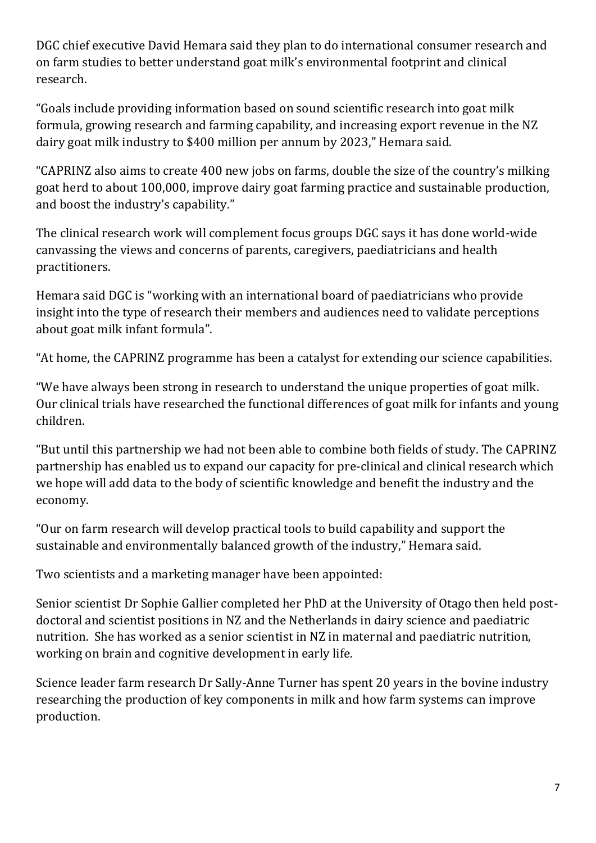DGC chief executive David Hemara said they plan to do international consumer research and on farm studies to better understand goat milk's environmental footprint and clinical research.

"Goals include providing information based on sound scientific research into goat milk formula, growing research and farming capability, and increasing export revenue in the NZ dairy goat milk industry to \$400 million per annum by 2023," Hemara said.

"CAPRINZ also aims to create 400 new jobs on farms, double the size of the country's milking goat herd to about 100,000, improve dairy goat farming practice and sustainable production, and boost the industry's capability."

The clinical research work will complement focus groups DGC says it has done world-wide canvassing the views and concerns of parents, caregivers, paediatricians and health practitioners.

Hemara said DGC is "working with an international board of paediatricians who provide insight into the type of research their members and audiences need to validate perceptions about goat milk infant formula".

"At home, the CAPRINZ programme has been a catalyst for extending our science capabilities.

"We have always been strong in research to understand the unique properties of goat milk. Our clinical trials have researched the functional differences of goat milk for infants and young children.

"But until this partnership we had not been able to combine both fields of study. The CAPRINZ partnership has enabled us to expand our capacity for pre-clinical and clinical research which we hope will add data to the body of scientific knowledge and benefit the industry and the economy.

"Our on farm research will develop practical tools to build capability and support the sustainable and environmentally balanced growth of the industry," Hemara said.

Two scientists and a marketing manager have been appointed:

Senior scientist Dr Sophie Gallier completed her PhD at the University of Otago then held postdoctoral and scientist positions in NZ and the Netherlands in dairy science and paediatric nutrition. She has worked as a senior scientist in NZ in maternal and paediatric nutrition, working on brain and cognitive development in early life.

Science leader farm research Dr Sally-Anne Turner has spent 20 years in the bovine industry researching the production of key components in milk and how farm systems can improve production.